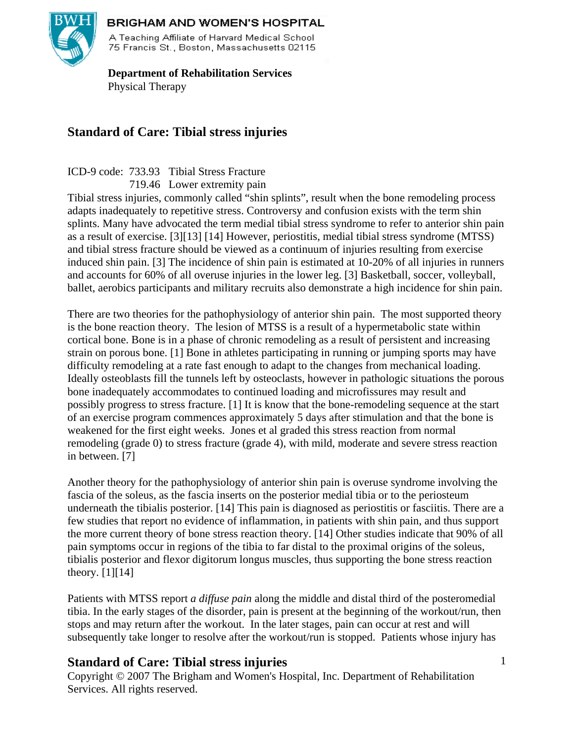

75 Francis St., Boston, Massachusetts 02115

 **Department of Rehabilitation Services**  Physical Therapy

# **Standard of Care: Tibial stress injuries**

ICD-9 code: 733.93 Tibial Stress Fracture

719.46 Lower extremity pain

Tibial stress injuries, commonly called "shin splints", result when the bone remodeling process adapts inadequately to repetitive stress. Controversy and confusion exists with the term shin splints. Many have advocated the term medial tibial stress syndrome to refer to anterior shin pain as a result of exercise. [3][13] [14] However, periostitis, medial tibial stress syndrome (MTSS) and tibial stress fracture should be viewed as a continuum of injuries resulting from exercise induced shin pain. [3] The incidence of shin pain is estimated at 10-20% of all injuries in runners and accounts for 60% of all overuse injuries in the lower leg. [3] Basketball, soccer, volleyball, ballet, aerobics participants and military recruits also demonstrate a high incidence for shin pain.

There are two theories for the pathophysiology of anterior shin pain. The most supported theory is the bone reaction theory. The lesion of MTSS is a result of a hypermetabolic state within cortical bone. Bone is in a phase of chronic remodeling as a result of persistent and increasing strain on porous bone. [1] Bone in athletes participating in running or jumping sports may have difficulty remodeling at a rate fast enough to adapt to the changes from mechanical loading. Ideally osteoblasts fill the tunnels left by osteoclasts, however in pathologic situations the porous bone inadequately accommodates to continued loading and microfissures may result and possibly progress to stress fracture. [1] It is know that the bone-remodeling sequence at the start of an exercise program commences approximately 5 days after stimulation and that the bone is weakened for the first eight weeks. Jones et al graded this stress reaction from normal remodeling (grade 0) to stress fracture (grade 4), with mild, moderate and severe stress reaction in between. [7]

Another theory for the pathophysiology of anterior shin pain is overuse syndrome involving the fascia of the soleus, as the fascia inserts on the posterior medial tibia or to the periosteum underneath the tibialis posterior. [14] This pain is diagnosed as periostitis or fasciitis. There are a few studies that report no evidence of inflammation, in patients with shin pain, and thus support the more current theory of bone stress reaction theory. [14] Other studies indicate that 90% of all pain symptoms occur in regions of the tibia to far distal to the proximal origins of the soleus, tibialis posterior and flexor digitorum longus muscles, thus supporting the bone stress reaction theory.  $[1][14]$ 

Patients with MTSS report *a diffuse pain* along the middle and distal third of the posteromedial tibia. In the early stages of the disorder, pain is present at the beginning of the workout/run, then stops and may return after the workout. In the later stages, pain can occur at rest and will subsequently take longer to resolve after the workout/run is stopped. Patients whose injury has

# **Standard of Care: Tibial stress injuries**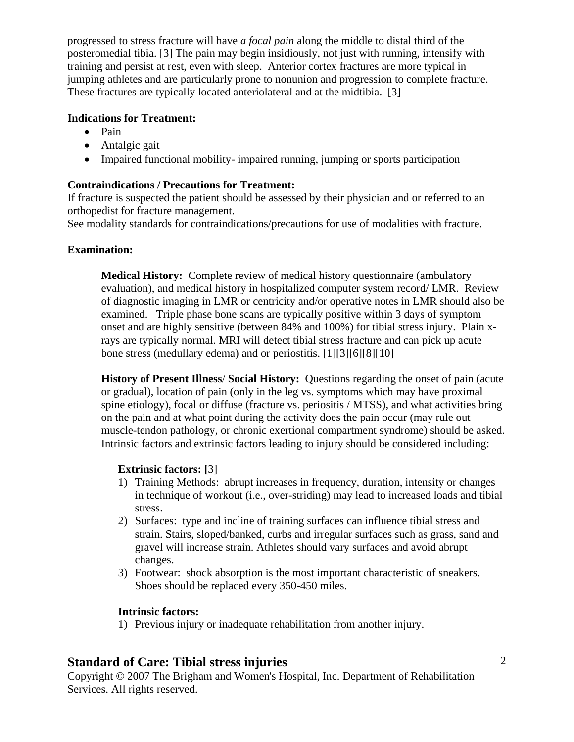progressed to stress fracture will have *a focal pain* along the middle to distal third of the posteromedial tibia. [3] The pain may begin insidiously, not just with running, intensify with training and persist at rest, even with sleep. Anterior cortex fractures are more typical in jumping athletes and are particularly prone to nonunion and progression to complete fracture. These fractures are typically located anteriolateral and at the midtibia. [3]

### **Indications for Treatment:**

- Pain
- Antalgic gait
- Impaired functional mobility- impaired running, jumping or sports participation

### **Contraindications / Precautions for Treatment:**

If fracture is suspected the patient should be assessed by their physician and or referred to an orthopedist for fracture management.

See modality standards for contraindications/precautions for use of modalities with fracture.

### **Examination:**

**Medical History:** Complete review of medical history questionnaire (ambulatory evaluation), and medical history in hospitalized computer system record/ LMR. Review of diagnostic imaging in LMR or centricity and/or operative notes in LMR should also be examined. Triple phase bone scans are typically positive within 3 days of symptom onset and are highly sensitive (between 84% and 100%) for tibial stress injury. Plain xrays are typically normal. MRI will detect tibial stress fracture and can pick up acute bone stress (medullary edema) and or periostitis. [1][3][6][8][10]

**History of Present Illness**/ **Social History:** Questions regarding the onset of pain (acute or gradual), location of pain (only in the leg vs. symptoms which may have proximal spine etiology), focal or diffuse (fracture vs. periositis / MTSS), and what activities bring on the pain and at what point during the activity does the pain occur (may rule out muscle-tendon pathology, or chronic exertional compartment syndrome) should be asked. Intrinsic factors and extrinsic factors leading to injury should be considered including:

### **Extrinsic factors: [**3]

- 1) Training Methods: abrupt increases in frequency, duration, intensity or changes in technique of workout (i.e., over-striding) may lead to increased loads and tibial stress.
- 2) Surfaces: type and incline of training surfaces can influence tibial stress and strain. Stairs, sloped/banked, curbs and irregular surfaces such as grass, sand and gravel will increase strain. Athletes should vary surfaces and avoid abrupt changes.
- 3) Footwear: shock absorption is the most important characteristic of sneakers. Shoes should be replaced every 350-450 miles.

#### **Intrinsic factors:**

1) Previous injury or inadequate rehabilitation from another injury.

# **Standard of Care: Tibial stress injuries**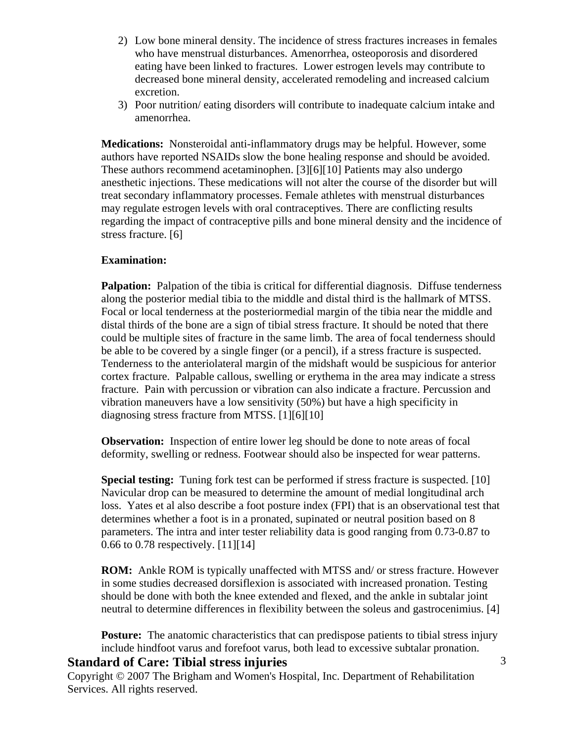- 2) Low bone mineral density. The incidence of stress fractures increases in females who have menstrual disturbances. Amenorrhea, osteoporosis and disordered eating have been linked to fractures. Lower estrogen levels may contribute to decreased bone mineral density, accelerated remodeling and increased calcium excretion.
- 3) Poor nutrition/ eating disorders will contribute to inadequate calcium intake and amenorrhea.

**Medications:** Nonsteroidal anti-inflammatory drugs may be helpful. However, some authors have reported NSAIDs slow the bone healing response and should be avoided. These authors recommend acetaminophen. [3][6][10] Patients may also undergo anesthetic injections. These medications will not alter the course of the disorder but will treat secondary inflammatory processes. Female athletes with menstrual disturbances may regulate estrogen levels with oral contraceptives. There are conflicting results regarding the impact of contraceptive pills and bone mineral density and the incidence of stress fracture. [6]

### **Examination:**

**Palpation:** Palpation of the tibia is critical for differential diagnosis. Diffuse tenderness along the posterior medial tibia to the middle and distal third is the hallmark of MTSS. Focal or local tenderness at the posteriormedial margin of the tibia near the middle and distal thirds of the bone are a sign of tibial stress fracture. It should be noted that there could be multiple sites of fracture in the same limb. The area of focal tenderness should be able to be covered by a single finger (or a pencil), if a stress fracture is suspected. Tenderness to the anteriolateral margin of the midshaft would be suspicious for anterior cortex fracture. Palpable callous, swelling or erythema in the area may indicate a stress fracture. Pain with percussion or vibration can also indicate a fracture. Percussion and vibration maneuvers have a low sensitivity (50%) but have a high specificity in diagnosing stress fracture from MTSS. [1][6][10]

**Observation:** Inspection of entire lower leg should be done to note areas of focal deformity, swelling or redness. Footwear should also be inspected for wear patterns.

**Special testing:** Tuning fork test can be performed if stress fracture is suspected. [10] Navicular drop can be measured to determine the amount of medial longitudinal arch loss. Yates et al also describe a foot posture index (FPI) that is an observational test that determines whether a foot is in a pronated, supinated or neutral position based on 8 parameters. The intra and inter tester reliability data is good ranging from 0.73-0.87 to 0.66 to 0.78 respectively. [11][14]

**ROM:** Ankle ROM is typically unaffected with MTSS and/ or stress fracture. However in some studies decreased dorsiflexion is associated with increased pronation. Testing should be done with both the knee extended and flexed, and the ankle in subtalar joint neutral to determine differences in flexibility between the soleus and gastrocenimius. [4]

**Posture:** The anatomic characteristics that can predispose patients to tibial stress injury include hindfoot varus and forefoot varus, both lead to excessive subtalar pronation.

### **Standard of Care: Tibial stress injuries**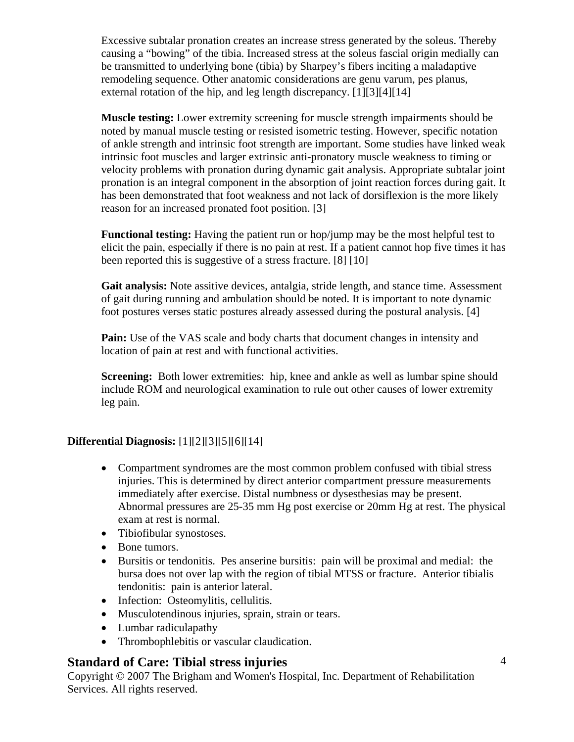Excessive subtalar pronation creates an increase stress generated by the soleus. Thereby causing a "bowing" of the tibia. Increased stress at the soleus fascial origin medially can be transmitted to underlying bone (tibia) by Sharpey's fibers inciting a maladaptive remodeling sequence. Other anatomic considerations are genu varum, pes planus, external rotation of the hip, and leg length discrepancy. [1][3][4][14]

**Muscle testing:** Lower extremity screening for muscle strength impairments should be noted by manual muscle testing or resisted isometric testing. However, specific notation of ankle strength and intrinsic foot strength are important. Some studies have linked weak intrinsic foot muscles and larger extrinsic anti-pronatory muscle weakness to timing or velocity problems with pronation during dynamic gait analysis. Appropriate subtalar joint pronation is an integral component in the absorption of joint reaction forces during gait. It has been demonstrated that foot weakness and not lack of dorsiflexion is the more likely reason for an increased pronated foot position. [3]

**Functional testing:** Having the patient run or hop/jump may be the most helpful test to elicit the pain, especially if there is no pain at rest. If a patient cannot hop five times it has been reported this is suggestive of a stress fracture. [8] [10]

**Gait analysis:** Note assitive devices, antalgia, stride length, and stance time. Assessment of gait during running and ambulation should be noted. It is important to note dynamic foot postures verses static postures already assessed during the postural analysis. [4]

Pain: Use of the VAS scale and body charts that document changes in intensity and location of pain at rest and with functional activities.

**Screening:** Both lower extremities: hip, knee and ankle as well as lumbar spine should include ROM and neurological examination to rule out other causes of lower extremity leg pain.

### **Differential Diagnosis:** [1][2][3][5][6][14]

- Compartment syndromes are the most common problem confused with tibial stress injuries. This is determined by direct anterior compartment pressure measurements immediately after exercise. Distal numbness or dysesthesias may be present. Abnormal pressures are 25-35 mm Hg post exercise or 20mm Hg at rest. The physical exam at rest is normal.
- Tibiofibular synostoses.
- Bone tumors.
- Bursitis or tendonitis. Pes anserine bursitis: pain will be proximal and medial: the bursa does not over lap with the region of tibial MTSS or fracture. Anterior tibialis tendonitis: pain is anterior lateral.
- Infection: Osteomylitis, cellulitis.
- Musculotendinous injuries, sprain, strain or tears.
- Lumbar radiculapathy
- Thrombophlebitis or vascular claudication.

# **Standard of Care: Tibial stress injuries**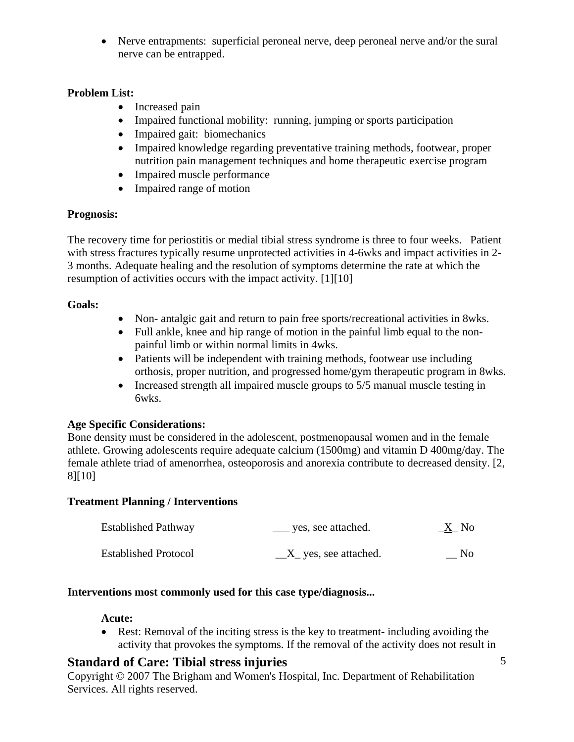• Nerve entrapments: superficial peroneal nerve, deep peroneal nerve and/or the sural nerve can be entrapped.

### **Problem List:**

- Increased pain
- Impaired functional mobility: running, jumping or sports participation
- Impaired gait: biomechanics
- Impaired knowledge regarding preventative training methods, footwear, proper nutrition pain management techniques and home therapeutic exercise program
- Impaired muscle performance
- Impaired range of motion

### **Prognosis:**

The recovery time for periostitis or medial tibial stress syndrome is three to four weeks. Patient with stress fractures typically resume unprotected activities in 4-6wks and impact activities in 2-3 months. Adequate healing and the resolution of symptoms determine the rate at which the resumption of activities occurs with the impact activity. [1][10]

### **Goals:**

- Non- antalgic gait and return to pain free sports/recreational activities in 8wks.
- Full ankle, knee and hip range of motion in the painful limb equal to the nonpainful limb or within normal limits in 4wks.
- Patients will be independent with training methods, footwear use including orthosis, proper nutrition, and progressed home/gym therapeutic program in 8wks.
- Increased strength all impaired muscle groups to 5/5 manual muscle testing in 6wks.

# **Age Specific Considerations:**

Bone density must be considered in the adolescent, postmenopausal women and in the female athlete. Growing adolescents require adequate calcium (1500mg) and vitamin D 400mg/day. The female athlete triad of amenorrhea, osteoporosis and anorexia contribute to decreased density. [2, 8][10]

### **Treatment Planning / Interventions**

| <b>Established Pathway</b>  | yes, see attached.     | <u>_X</u> _ No |
|-----------------------------|------------------------|----------------|
| <b>Established Protocol</b> | $X$ yes, see attached. | No.            |

### **Interventions most commonly used for this case type/diagnosis...**

### **Acute:**

• Rest: Removal of the inciting stress is the key to treatment- including avoiding the activity that provokes the symptoms. If the removal of the activity does not result in

# **Standard of Care: Tibial stress injuries**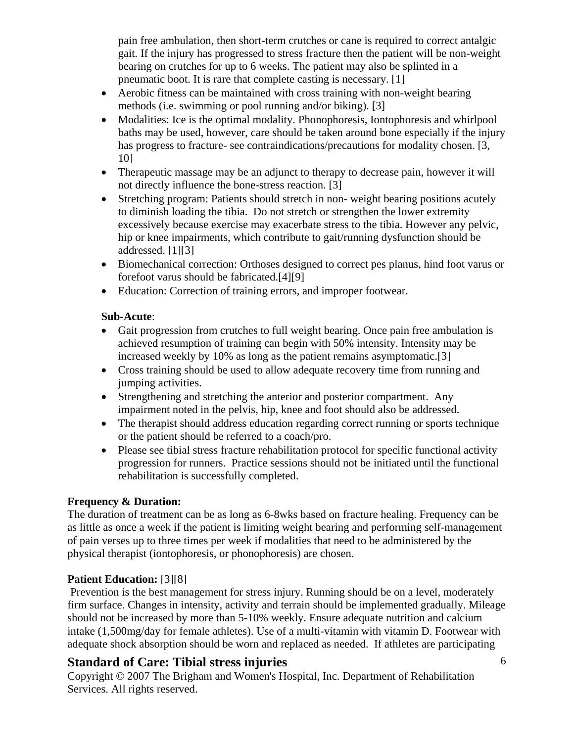pain free ambulation, then short-term crutches or cane is required to correct antalgic gait. If the injury has progressed to stress fracture then the patient will be non-weight bearing on crutches for up to 6 weeks. The patient may also be splinted in a pneumatic boot. It is rare that complete casting is necessary. [1]

- Aerobic fitness can be maintained with cross training with non-weight bearing methods (i.e. swimming or pool running and/or biking). [3]
- Modalities: Ice is the optimal modality. Phonophoresis, Iontophoresis and whirlpool baths may be used, however, care should be taken around bone especially if the injury has progress to fracture- see contraindications/precautions for modality chosen. [3, 10]
- Therapeutic massage may be an adjunct to therapy to decrease pain, however it will not directly influence the bone-stress reaction. [3]
- Stretching program: Patients should stretch in non-weight bearing positions acutely to diminish loading the tibia. Do not stretch or strengthen the lower extremity excessively because exercise may exacerbate stress to the tibia. However any pelvic, hip or knee impairments, which contribute to gait/running dysfunction should be addressed. [1][3]
- Biomechanical correction: Orthoses designed to correct pes planus, hind foot varus or forefoot varus should be fabricated.[4][9]
- Education: Correction of training errors, and improper footwear.

### **Sub-Acute**:

- Gait progression from crutches to full weight bearing. Once pain free ambulation is achieved resumption of training can begin with 50% intensity. Intensity may be increased weekly by 10% as long as the patient remains asymptomatic.[3]
- Cross training should be used to allow adequate recovery time from running and jumping activities.
- Strengthening and stretching the anterior and posterior compartment. Any impairment noted in the pelvis, hip, knee and foot should also be addressed.
- The therapist should address education regarding correct running or sports technique or the patient should be referred to a coach/pro.
- Please see tibial stress fracture rehabilitation protocol for specific functional activity progression for runners. Practice sessions should not be initiated until the functional rehabilitation is successfully completed.

### **Frequency & Duration:**

The duration of treatment can be as long as 6-8wks based on fracture healing. Frequency can be as little as once a week if the patient is limiting weight bearing and performing self-management of pain verses up to three times per week if modalities that need to be administered by the physical therapist (iontophoresis, or phonophoresis) are chosen.

# **Patient Education:** [3][8]

Prevention is the best management for stress injury. Running should be on a level, moderately firm surface. Changes in intensity, activity and terrain should be implemented gradually. Mileage should not be increased by more than 5-10% weekly. Ensure adequate nutrition and calcium intake (1,500mg/day for female athletes). Use of a multi-vitamin with vitamin D. Footwear with adequate shock absorption should be worn and replaced as needed. If athletes are participating

# **Standard of Care: Tibial stress injuries**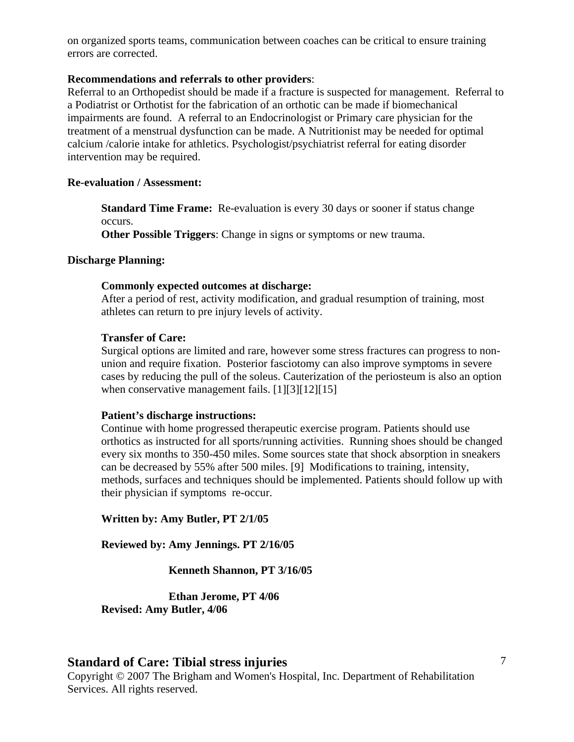on organized sports teams, communication between coaches can be critical to ensure training errors are corrected.

#### **Recommendations and referrals to other providers**:

Referral to an Orthopedist should be made if a fracture is suspected for management. Referral to a Podiatrist or Orthotist for the fabrication of an orthotic can be made if biomechanical impairments are found. A referral to an Endocrinologist or Primary care physician for the treatment of a menstrual dysfunction can be made. A Nutritionist may be needed for optimal calcium /calorie intake for athletics. Psychologist/psychiatrist referral for eating disorder intervention may be required.

#### **Re-evaluation / Assessment:**

**Standard Time Frame:** Re-evaluation is every 30 days or sooner if status change occurs.

**Other Possible Triggers**: Change in signs or symptoms or new trauma.

#### **Discharge Planning:**

#### **Commonly expected outcomes at discharge:**

After a period of rest, activity modification, and gradual resumption of training, most athletes can return to pre injury levels of activity.

#### **Transfer of Care:**

Surgical options are limited and rare, however some stress fractures can progress to nonunion and require fixation. Posterior fasciotomy can also improve symptoms in severe cases by reducing the pull of the soleus. Cauterization of the periosteum is also an option when conservative management fails. [1][3][12][15]

#### **Patient's discharge instructions:**

Continue with home progressed therapeutic exercise program. Patients should use orthotics as instructed for all sports/running activities. Running shoes should be changed every six months to 350-450 miles. Some sources state that shock absorption in sneakers can be decreased by 55% after 500 miles. [9] Modifications to training, intensity, methods, surfaces and techniques should be implemented. Patients should follow up with their physician if symptoms re-occur.

#### **Written by: Amy Butler, PT 2/1/05**

**Reviewed by: Amy Jennings. PT 2/16/05** 

 **Kenneth Shannon, PT 3/16/05** 

 **Ethan Jerome, PT 4/06 Revised: Amy Butler, 4/06** 

#### **Standard of Care: Tibial stress injuries**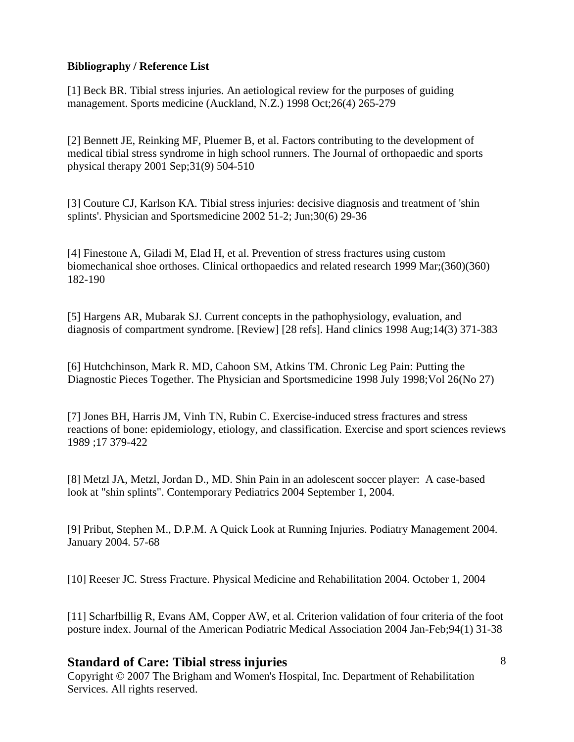### **Bibliography / Reference List**

[1] Beck BR. Tibial stress injuries. An aetiological review for the purposes of guiding management. Sports medicine (Auckland, N.Z.) 1998 Oct;26(4) 265-279

[2] Bennett JE, Reinking MF, Pluemer B, et al. Factors contributing to the development of medical tibial stress syndrome in high school runners. The Journal of orthopaedic and sports physical therapy 2001 Sep;31(9) 504-510

[3] Couture CJ, Karlson KA. Tibial stress injuries: decisive diagnosis and treatment of 'shin splints'. Physician and Sportsmedicine 2002 51-2; Jun;30(6) 29-36

[4] Finestone A, Giladi M, Elad H, et al. Prevention of stress fractures using custom biomechanical shoe orthoses. Clinical orthopaedics and related research 1999 Mar;(360)(360) 182-190

[5] Hargens AR, Mubarak SJ. Current concepts in the pathophysiology, evaluation, and diagnosis of compartment syndrome. [Review] [28 refs]. Hand clinics 1998 Aug;14(3) 371-383

[6] Hutchchinson, Mark R. MD, Cahoon SM, Atkins TM. Chronic Leg Pain: Putting the Diagnostic Pieces Together. The Physician and Sportsmedicine 1998 July 1998;Vol 26(No 27)

[7] Jones BH, Harris JM, Vinh TN, Rubin C. Exercise-induced stress fractures and stress reactions of bone: epidemiology, etiology, and classification. Exercise and sport sciences reviews 1989 ;17 379-422

[8] Metzl JA, Metzl, Jordan D., MD. Shin Pain in an adolescent soccer player: A case-based look at "shin splints". Contemporary Pediatrics 2004 September 1, 2004.

[9] Pribut, Stephen M., D.P.M. A Quick Look at Running Injuries. Podiatry Management 2004. January 2004. 57-68

[10] Reeser JC. Stress Fracture. Physical Medicine and Rehabilitation 2004. October 1, 2004

[11] Scharfbillig R, Evans AM, Copper AW, et al. Criterion validation of four criteria of the foot posture index. Journal of the American Podiatric Medical Association 2004 Jan-Feb;94(1) 31-38

# **Standard of Care: Tibial stress injuries**